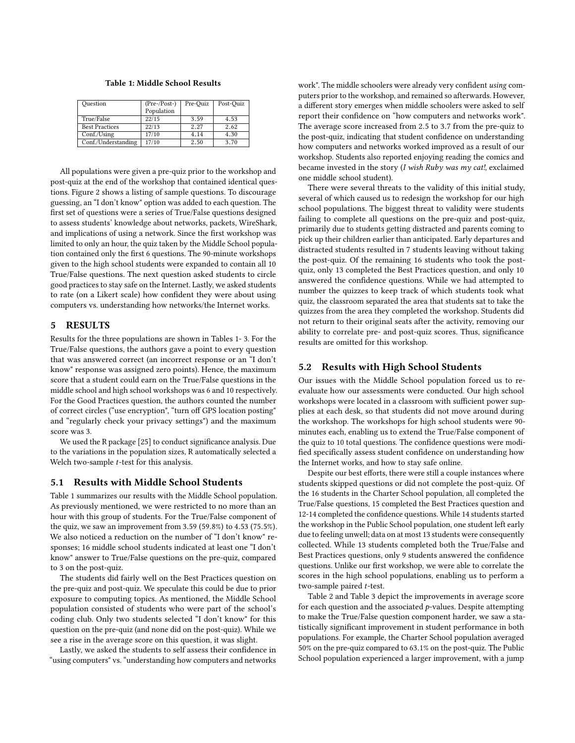<span id="page-3-0"></span>

| Ouestion              | $(Pre$ -/Post-) | Pre-Quiz | Post-Quiz |
|-----------------------|-----------------|----------|-----------|
|                       | Population      |          |           |
| True/False            | 22/15           | 3.59     | 4.53      |
| <b>Best Practices</b> | 22/13           | 2.27     | 2.62      |
| Conf./Using           | 17/10           | 4.14     | 4.30      |
| Conf./Understanding   | 17/10           | 2.50     | 3.70      |
|                       |                 |          |           |

Table 1: Middle School Results

All populations were given a pre-quiz prior to the workshop and post-quiz at the end of the workshop that contained identical questions. Figure [2](#page-2-0) shows a listing of sample questions. To discourage guessing, an "I don't know" option was added to each question. The first set of questions were a series of True/False questions designed to assess students' knowledge about networks, packets, WireShark, and implications of using a network. Since the first workshop was limited to only an hour, the quiz taken by the Middle School population contained only the first 6 questions. The 90-minute workshops given to the high school students were expanded to contain all 10 True/False questions. The next question asked students to circle good practices to stay safe on the Internet. Lastly, we asked students to rate (on a Likert scale) how confident they were about using computers vs. understanding how networks/the Internet works.

# 5 RESULTS

Results for the three populations are shown in Tables [1-](#page-3-0) [3.](#page-4-0) For the True/False questions, the authors gave a point to every question that was answered correct (an incorrect response or an "I don't know" response was assigned zero points). Hence, the maximum score that a student could earn on the True/False questions in the middle school and high school workshops was 6 and 10 respectively. For the Good Practices question, the authors counted the number of correct circles ("use encryption", "turn off GPS location posting" and "regularly check your privacy settings") and the maximum score was 3.

We used the R package [\[25\]](#page-5-0) to conduct significance analysis. Due to the variations in the population sizes, R automatically selected a Welch two-sample *t*-test for this analysis.

### 5.1 Results with Middle School Students

Table [1](#page-3-0) summarizes our results with the Middle School population. As previously mentioned, we were restricted to no more than an hour with this group of students. For the True/False component of the quiz, we saw an improvement from <sup>3</sup>.<sup>59</sup> (59.8%) to <sup>4</sup>.<sup>53</sup> (75.5%). We also noticed a reduction on the number of "I don't know" responses; 16 middle school students indicated at least one "I don't know" answer to True/False questions on the pre-quiz, compared to 3 on the post-quiz.

The students did fairly well on the Best Practices question on the pre-quiz and post-quiz. We speculate this could be due to prior exposure to computing topics. As mentioned, the Middle School population consisted of students who were part of the school's coding club. Only two students selected "I don't know" for this question on the pre-quiz (and none did on the post-quiz). While we see a rise in the average score on this question, it was slight.

Lastly, we asked the students to self assess their confidence in "using computers" vs. "understanding how computers and networks

work". The middle schoolers were already very confident using computers prior to the workshop, and remained so afterwards. However, a different story emerges when middle schoolers were asked to self report their confidence on "how computers and networks work". The average score increased from <sup>2</sup>.<sup>5</sup> to <sup>3</sup>.<sup>7</sup> from the pre-quiz to the post-quiz, indicating that student confidence on understanding how computers and networks worked improved as a result of our workshop. Students also reported enjoying reading the comics and became invested in the story (I wish Ruby was my cat!, exclaimed one middle school student).

There were several threats to the validity of this initial study, several of which caused us to redesign the workshop for our high school populations. The biggest threat to validity were students failing to complete all questions on the pre-quiz and post-quiz, primarily due to students getting distracted and parents coming to pick up their children earlier than anticipated. Early departures and distracted students resulted in 7 students leaving without taking the post-quiz. Of the remaining 16 students who took the postquiz, only 13 completed the Best Practices question, and only 10 answered the confidence questions. While we had attempted to number the quizzes to keep track of which students took what quiz, the classroom separated the area that students sat to take the quizzes from the area they completed the workshop. Students did not return to their original seats after the activity, removing our ability to correlate pre- and post-quiz scores. Thus, significance results are omitted for this workshop.

## 5.2 Results with High School Students

Our issues with the Middle School population forced us to reevaluate how our assessments were conducted. Our high school workshops were located in a classroom with sufficient power supplies at each desk, so that students did not move around during the workshop. The workshops for high school students were 90 minutes each, enabling us to extend the True/False component of the quiz to 10 total questions. The confidence questions were modified specifically assess student confidence on understanding how the Internet works, and how to stay safe online.

Despite our best efforts, there were still a couple instances where students skipped questions or did not complete the post-quiz. Of the 16 students in the Charter School population, all completed the True/False questions, 15 completed the Best Practices question and 12-14 completed the confidence questions. While 14 students started the workshop in the Public School population, one student left early due to feeling unwell; data on at most 13 students were consequently collected. While 13 students completed both the True/False and Best Practices questions, only 9 students answered the confidence questions. Unlike our first workshop, we were able to correlate the scores in the high school populations, enabling us to perform a two-sample paired t-test.

Table [2](#page-4-1) and Table [3](#page-4-0) depict the improvements in average score for each question and the associated  $p$ -values. Despite attempting to make the True/False question component harder, we saw a statistically significant improvement in student performance in both populations. For example, the Charter School population averaged 50% on the pre-quiz compared to <sup>63</sup>.1% on the post-quiz. The Public School population experienced a larger improvement, with a jump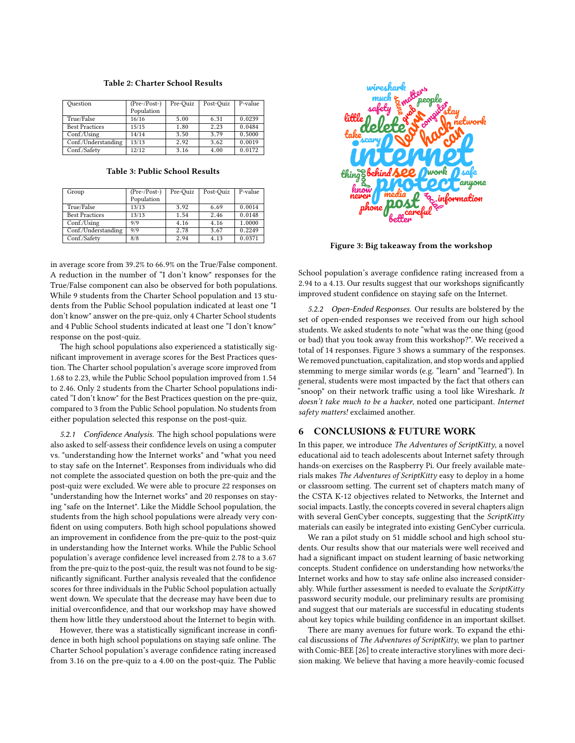<span id="page-4-1"></span>

| Ouestion              | $(Pre-Post-)$ | Pre-Ouiz | Post-Quiz | P-value |
|-----------------------|---------------|----------|-----------|---------|
|                       | Population    |          |           |         |
| True/False            | 16/16         | 5.00     | 6.31      | 0.0239  |
| <b>Best Practices</b> | 15/15         | 1.80     | 2.23      | 0.0484  |
| Conf./Using           | 14/14         | 3.50     | 3.79      | 0.5000  |
| Conf./Understanding   | 13/13         | 2.92     | 3.62      | 0.0019  |
| Conf./Safety          | 12/12         | 3.16     | 4.00      | 0.0172  |
|                       |               |          |           |         |

#### Table 2: Charter School Results

#### Table 3: Public School Results

<span id="page-4-0"></span>

| Group                 | $(Pre$ -/Post-) | Pre-Ouiz | Post-Ouiz | P-value |
|-----------------------|-----------------|----------|-----------|---------|
|                       | Population      |          |           |         |
| True/False            | 13/13           | 3.92     | 6.69      | 0.0014  |
| <b>Best Practices</b> | 13/13           | 1.54     | 2.46      | 0.0148  |
| Conf./Using           | 9/9             | 4.16     | 4.16      | 1.0000  |
| Conf./Understanding   | 9/9             | 2.78     | 3.67      | 0.2249  |
| Conf./Safety          | 8/8             | 2.94     | 4.13      | 0.0371  |
|                       |                 |          |           |         |

in average score from <sup>39</sup>.2% to <sup>66</sup>.9% on the True/False component. A reduction in the number of "I don't know" responses for the True/False component can also be observed for both populations. While 9 students from the Charter School population and 13 students from the Public School population indicated at least one "I don't know" answer on the pre-quiz, only 4 Charter School students and 4 Public School students indicated at least one "I don't know" response on the post-quiz.

The high school populations also experienced a statistically significant improvement in average scores for the Best Practices question. The Charter school population's average score improved from <sup>1</sup>.<sup>68</sup> to <sup>2</sup>.23, while the Public School population improved from <sup>1</sup>.<sup>54</sup> to <sup>2</sup>.46. Only <sup>2</sup> students from the Charter School populations indicated "I don't know" for the Best Practices question on the pre-quiz, compared to 3 from the Public School population. No students from either population selected this response on the post-quiz.

5.2.1 Confidence Analysis. The high school populations were also asked to self-assess their confidence levels on using a computer vs. "understanding how the Internet works" and "what you need to stay safe on the Internet". Responses from individuals who did not complete the associated question on both the pre-quiz and the post-quiz were excluded. We were able to procure 22 responses on "understanding how the Internet works" and 20 responses on staying "safe on the Internet". Like the Middle School population, the students from the high school populations were already very confident on using computers. Both high school populations showed an improvement in confidence from the pre-quiz to the post-quiz in understanding how the Internet works. While the Public School population's average confidence level increased from <sup>2</sup>.<sup>78</sup> to a <sup>3</sup>.<sup>67</sup> from the pre-quiz to the post-quiz, the result was not found to be significantly significant. Further analysis revealed that the confidence scores for three individuals in the Public School population actually went down. We speculate that the decrease may have been due to initial overconfidence, and that our workshop may have showed them how little they understood about the Internet to begin with.

However, there was a statistically significant increase in confidence in both high school populations on staying safe online. The Charter School population's average confidence rating increased from <sup>3</sup>.<sup>16</sup> on the pre-quiz to a <sup>4</sup>.<sup>00</sup> on the post-quiz. The Public

<span id="page-4-2"></span>

Figure 3: Big takeaway from the workshop

School population's average confidence rating increased from a <sup>2</sup>.<sup>94</sup> to a <sup>4</sup>.13. Our results suggest that our workshops significantly improved student confidence on staying safe on the Internet.

5.2.2 Open-Ended Responses. Our results are bolstered by the set of open-ended responses we received from our high school students. We asked students to note "what was the one thing (good or bad) that you took away from this workshop?". We received a total of 14 responses. Figure [3](#page-4-2) shows a summary of the responses. We removed punctuation, capitalization, and stop words and applied stemming to merge similar words (e.g. "learn" and "learned"). In general, students were most impacted by the fact that others can 'snoop" on their network traffic using a tool like Wireshark. It doesn't take much to be a hacker, noted one participant. Internet safety matters! exclaimed another.

### 6 CONCLUSIONS & FUTURE WORK

In this paper, we introduce The Adventures of ScriptKitty, a novel educational aid to teach adolescents about Internet safety through hands-on exercises on the Raspberry Pi. Our freely available materials makes The Adventures of ScriptKitty easy to deploy in a home or classroom setting. The current set of chapters match many of the CSTA K-12 objectives related to Networks, the Internet and social impacts. Lastly, the concepts covered in several chapters align with several GenCyber concepts, suggesting that the ScriptKitty materials can easily be integrated into existing GenCyber curricula.

We ran a pilot study on 51 middle school and high school students. Our results show that our materials were well received and had a significant impact on student learning of basic networking concepts. Student confidence on understanding how networks/the Internet works and how to stay safe online also increased considerably. While further assessment is needed to evaluate the ScriptKitty password security module, our preliminary results are promising and suggest that our materials are successful in educating students about key topics while building confidence in an important skillset.

There are many avenues for future work. To expand the ethical discussions of The Adventures of ScriptKitty, we plan to partner with Comic-BEE [\[26\]](#page-5-1) to create interactive storylines with more decision making. We believe that having a more heavily-comic focused